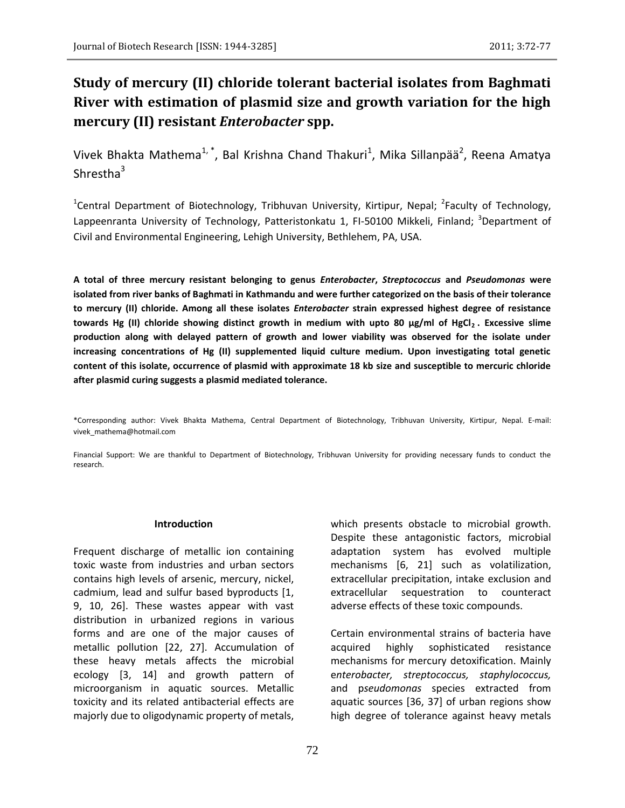# **Study of mercury (II) chloride tolerant bacterial isolates from Baghmati River with estimation of plasmid size and growth variation for the high mercury (II) resistant** *Enterobacter* **spp.**

Vivek Bhakta Mathema<sup>1,\*</sup>, Bal Krishna Chand Thakuri<sup>1</sup>, Mika Sillanpää<sup>2</sup>, Reena Amatya Shrestha $3$ 

<sup>1</sup>Central Department of Biotechnology, Tribhuvan University, Kirtipur, Nepal; <sup>2</sup>Faculty of Technology, Lappeenranta University of Technology, Patteristonkatu 1, FI-50100 Mikkeli, Finland; <sup>3</sup>Department of Civil and Environmental Engineering, Lehigh University, Bethlehem, PA, USA.

**A total of three mercury resistant belonging to genus** *Enterobacter***,** *Streptococcus* **and** *Pseudomonas* **were isolated from river banks of Baghmati in Kathmandu and were further categorized on the basis of their tolerance to mercury (II) chloride. Among all these isolates** *Enterobacter* **strain expressed highest degree of resistance towards Hg (II) chloride showing distinct growth in medium with upto 80 µg/ml of HgCl<sup>2</sup> . Excessive slime production along with delayed pattern of growth and lower viability was observed for the isolate under increasing concentrations of Hg (II) supplemented liquid culture medium. Upon investigating total genetic content of this isolate, occurrence of plasmid with approximate 18 kb size and susceptible to mercuric chloride after plasmid curing suggests a plasmid mediated tolerance.** 

Financial Support: We are thankful to Department of Biotechnology, Tribhuvan University for providing necessary funds to conduct the research.

#### **Introduction**

Frequent discharge of metallic ion containing toxic waste from industries and urban sectors contains high levels of arsenic, mercury, nickel, cadmium, lead and sulfur based byproducts [1, 9, 10, 26]. These wastes appear with vast distribution in urbanized regions in various forms and are one of the major causes of metallic pollution [22, 27]. Accumulation of these heavy metals affects the microbial ecology [3, 14] and growth pattern of microorganism in aquatic sources. Metallic toxicity and its related antibacterial effects are majorly due to oligodynamic property of metals,

which presents obstacle to microbial growth. Despite these antagonistic factors, microbial adaptation system has evolved multiple mechanisms [6, 21] such as volatilization, extracellular precipitation, intake exclusion and extracellular sequestration to counteract adverse effects of these toxic compounds.

Certain environmental strains of bacteria have acquired highly sophisticated resistance mechanisms for mercury detoxification. Mainly e*nterobacter, streptococcus, staphylococcus,*  and p*seudomonas* species extracted from aquatic sources [36, 37] of urban regions show high degree of tolerance against heavy metals

<sup>\*</sup>Corresponding author: Vivek Bhakta Mathema, Central Department of Biotechnology, Tribhuvan University, Kirtipur, Nepal. E-mail: vivek\_mathema@hotmail.com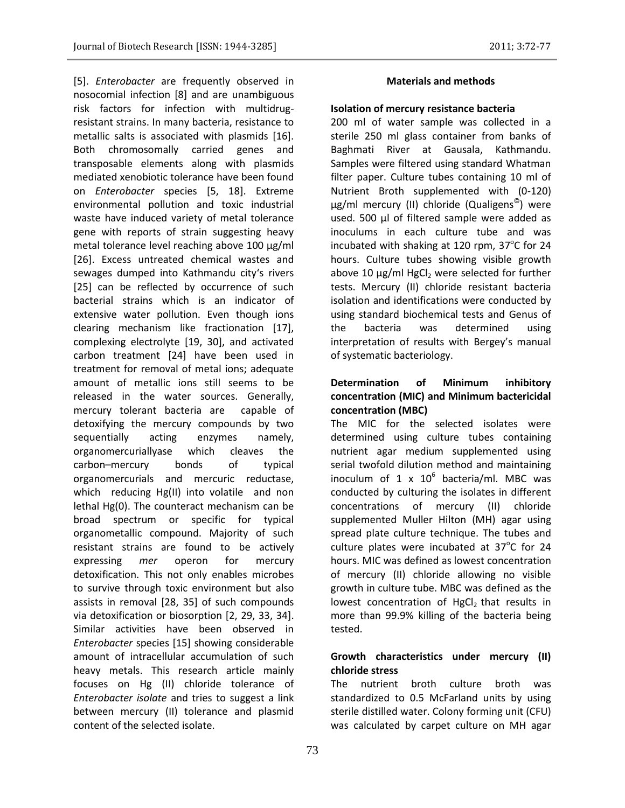[5]. *Enterobacter* are frequently observed in nosocomial infection [8] and are unambiguous risk factors for infection with multidrugresistant strains. In many bacteria, resistance to metallic salts is associated with plasmids [16]. Both chromosomally carried genes and transposable elements along with plasmids mediated xenobiotic tolerance have been found on *Enterobacter* species [5, 18]. Extreme environmental pollution and toxic industrial waste have induced variety of metal tolerance gene with reports of strain suggesting heavy metal tolerance level reaching above 100 µg/ml [26]. Excess untreated chemical wastes and sewages dumped into Kathmandu city's rivers [25] can be reflected by occurrence of such bacterial strains which is an indicator of extensive water pollution. Even though ions clearing mechanism like fractionation [17], complexing electrolyte [19, 30], and activated carbon treatment [24] have been used in treatment for removal of metal ions; adequate amount of metallic ions still seems to be released in the water sources. Generally, mercury tolerant bacteria are capable of detoxifying the mercury compounds by two sequentially acting enzymes namely, organomercuriallyase which cleaves the carbon–mercury bonds of typical organomercurials and mercuric reductase, which reducing Hg(II) into volatile and non lethal Hg(0). The counteract mechanism can be broad spectrum or specific for typical organometallic compound. Majority of such resistant strains are found to be actively expressing *mer* operon for mercury detoxification. This not only enables microbes to survive through toxic environment but also assists in removal [28, 35] of such compounds via detoxification or biosorption [2, 29, 33, 34]. Similar activities have been observed in *Enterobacter* species [15] showing considerable amount of intracellular accumulation of such heavy metals. This research article mainly focuses on Hg (II) chloride tolerance of *Enterobacter isolate* and tries to suggest a link between mercury (II) tolerance and plasmid content of the selected isolate.

## **Materials and methods**

# **Isolation of mercury resistance bacteria**

200 ml of water sample was collected in a sterile 250 ml glass container from banks of Baghmati River at Gausala, Kathmandu. Samples were filtered using standard Whatman filter paper. Culture tubes containing 10 ml of Nutrient Broth supplemented with (0-120) µg/ml mercury (II) chloride (Qualigens© ) were used. 500 µl of filtered sample were added as inoculums in each culture tube and was incubated with shaking at 120 rpm, 37 $^{\circ}$ C for 24 hours. Culture tubes showing visible growth above 10  $\mu$ g/ml HgCl<sub>2</sub> were selected for further tests. Mercury (II) chloride resistant bacteria isolation and identifications were conducted by using standard biochemical tests and Genus of the bacteria was determined using interpretation of results with Bergey's manual of systematic bacteriology.

# **Determination of Minimum inhibitory concentration (MIC) and Minimum bactericidal concentration (MBC)**

The MIC for the selected isolates were determined using culture tubes containing nutrient agar medium supplemented using serial twofold dilution method and maintaining inoculum of  $1 \times 10^6$  bacteria/ml. MBC was conducted by culturing the isolates in different concentrations of mercury (II) chloride supplemented Muller Hilton (MH) agar using spread plate culture technique. The tubes and culture plates were incubated at  $37^{\circ}$ C for 24 hours. MIC was defined as lowest concentration of mercury (II) chloride allowing no visible growth in culture tube. MBC was defined as the lowest concentration of  $HgCl<sub>2</sub>$  that results in more than 99.9% killing of the bacteria being tested.

# **Growth characteristics under mercury (II) chloride stress**

The nutrient broth culture broth was standardized to 0.5 McFarland units by using sterile distilled water. Colony forming unit (CFU) was calculated by carpet culture on MH agar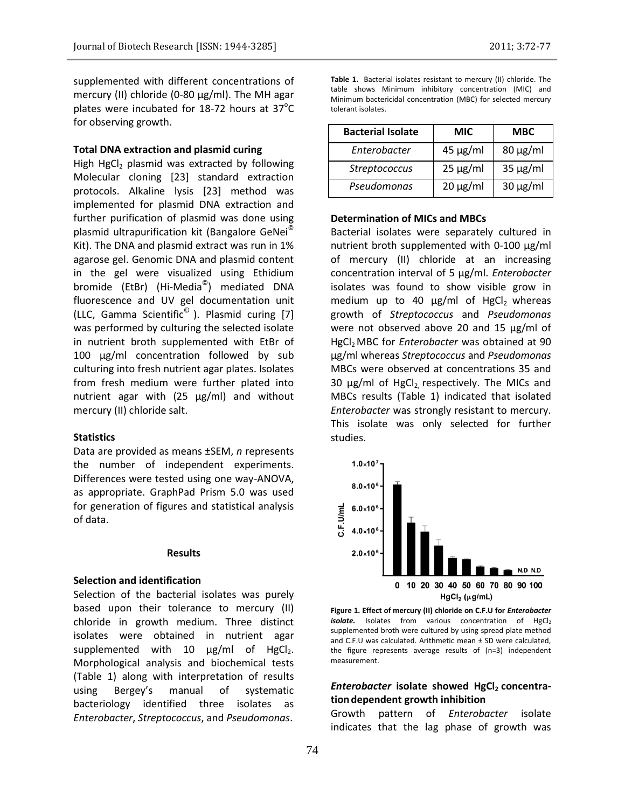supplemented with different concentrations of mercury (II) chloride (0-80 µg/ml). The MH agar plates were incubated for 18-72 hours at  $37^{\circ}$ C for observing growth.

## **Total DNA extraction and plasmid curing**

High HgCl<sub>2</sub> plasmid was extracted by following Molecular cloning [23] standard extraction protocols. Alkaline lysis [23] method was implemented for plasmid DNA extraction and further purification of plasmid was done using plasmid ultrapurification kit (Bangalore GeNei© Kit). The DNA and plasmid extract was run in 1% agarose gel. Genomic DNA and plasmid content in the gel were visualized using Ethidium bromide (EtBr) (Hi-Media<sup>©</sup>) mediated DNA fluorescence and UV gel documentation unit (LLC, Gamma Scientific<sup> $\textdegree$ </sup>). Plasmid curing [7] was performed by culturing the selected isolate in nutrient broth supplemented with EtBr of 100 µg/ml concentration followed by sub culturing into fresh nutrient agar plates. Isolates from fresh medium were further plated into nutrient agar with  $(25 \mu g/ml)$  and without mercury (II) chloride salt.

#### **Statistics**

Data are provided as means ±SEM, *n* represents the number of independent experiments. Differences were tested using one way-ANOVA, as appropriate. GraphPad Prism 5.0 was used for generation of figures and statistical analysis of data.

#### **Results**

#### **Selection and identification**

Selection of the bacterial isolates was purely based upon their tolerance to mercury (II) chloride in growth medium. Three distinct isolates were obtained in nutrient agar supplemented with 10  $\mu$ g/ml of HgCl<sub>2</sub>. Morphological analysis and biochemical tests (Table 1) along with interpretation of results using Bergey's manual of systematic bacteriology identified three isolates as *Enterobacter*, *Streptococcus*, and *Pseudomonas*.

**Table 1.** Bacterial isolates resistant to mercury (II) chloride. The table shows Minimum inhibitory concentration (MIC) and Minimum bactericidal concentration (MBC) for selected mercury tolerant isolates.

| <b>Bacterial Isolate</b> | <b>MIC</b>    | MBC           |
|--------------------------|---------------|---------------|
| Enterobacter             | $45 \mu g/ml$ | $80 \mu g/ml$ |
| Streptococcus            | $25 \mu g/ml$ | $35 \mu g/ml$ |
| Pseudomonas              | $20 \mu g/ml$ | $30 \mu g/ml$ |

#### **Determination of MICs and MBCs**

Bacterial isolates were separately cultured in nutrient broth supplemented with 0-100 µg/ml of mercury (II) chloride at an increasing concentration interval of 5 µg/ml. *Enterobacter* isolates was found to show visible grow in medium up to 40  $\mu$ g/ml of HgCl<sub>2</sub> whereas growth of *Streptococcus* and *Pseudomonas* were not observed above 20 and 15  $\mu$ g/ml of HgCl2 MBC for *Enterobacter* was obtained at 90 µg/ml whereas *Streptococcus* and *Pseudomonas*  MBCs were observed at concentrations 35 and 30  $\mu$ g/ml of HgCl<sub>2</sub> respectively. The MICs and MBCs results (Table 1) indicated that isolated *Enterobacter* was strongly resistant to mercury. This isolate was only selected for further studies.



**Figure 1. Effect of mercury (II) chloride on C.F.U for** *Enterobacter isolate.* Isolates from various concentration of HgCl<sub>2</sub> supplemented broth were cultured by using spread plate method and C.F.U was calculated. Arithmetic mean ± SD were calculated, the figure represents average results of (n=3) independent measurement.

# *Enterobacter* isolate showed HgCl<sub>2</sub> concentra**tion dependent growth inhibition**

Growth pattern of *Enterobacter* isolate indicates that the lag phase of growth was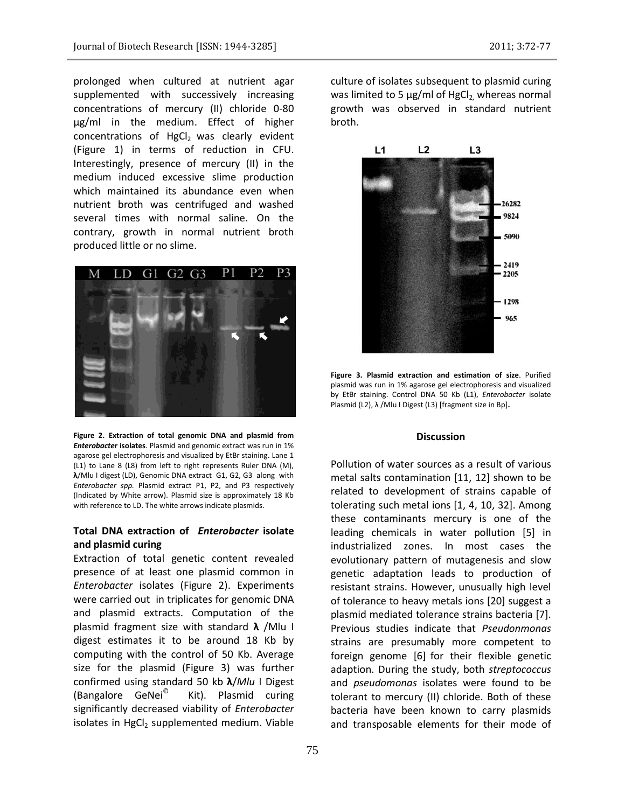prolonged when cultured at nutrient agar supplemented with successively increasing concentrations of mercury (II) chloride 0-80 µg/ml in the medium. Effect of higher concentrations of  $HgCl<sub>2</sub>$  was clearly evident (Figure 1) in terms of reduction in CFU. Interestingly, presence of mercury (II) in the medium induced excessive slime production which maintained its abundance even when nutrient broth was centrifuged and washed several times with normal saline. On the contrary, growth in normal nutrient broth produced little or no slime.



**Figure 2. Extraction of total genomic DNA and plasmid from**  *Enterobacter* **isolates**. Plasmid and genomic extract was run in 1% agarose gel electrophoresis and visualized by EtBr staining. Lane 1 (L1) to Lane 8 (L8) from left to right represents Ruler DNA (M), **λ**/Mlu I digest (LD), Genomic DNA extract G1, G2, G3 along with *Enterobacter spp.* Plasmid extract P1, P2, and P3 respectively (Indicated by White arrow). Plasmid size is approximately 18 Kb with reference to LD. The white arrows indicate plasmids.

# **Total DNA extraction of** *Enterobacter* **isolate and plasmid curing**

Extraction of total genetic content revealed presence of at least one plasmid common in *Enterobacter* isolates (Figure 2). Experiments were carried out in triplicates for genomic DNA and plasmid extracts. Computation of the plasmid fragment size with standard **λ** /Mlu I digest estimates it to be around 18 Kb by computing with the control of 50 Kb. Average size for the plasmid (Figure 3) was further confirmed using standard 50 kb **λ**/*Mlu* I Digest (Bangalore GeNei© Kit). Plasmid curing significantly decreased viability of *Enterobacter* isolates in  $HgCl<sub>2</sub>$  supplemented medium. Viable culture of isolates subsequent to plasmid curing was limited to 5  $\mu$ g/ml of HgCl<sub>2</sub>, whereas normal growth was observed in standard nutrient broth.



**Figure 3. Plasmid extraction and estimation of size**. Purified plasmid was run in 1% agarose gel electrophoresis and visualized by EtBr staining. Control DNA 50 Kb (L1), *Enterobacter* isolate Plasmid (L2), λ / Mlu I Digest (L3) [fragment size in Bp].

## **Discussion**

Pollution of water sources as a result of various metal salts contamination [11, 12] shown to be related to development of strains capable of tolerating such metal ions [1, 4, 10, 32]. Among these contaminants mercury is one of the leading chemicals in water pollution [5] in industrialized zones. In most cases the evolutionary pattern of mutagenesis and slow genetic adaptation leads to production of resistant strains. However, unusually high level of tolerance to heavy metals ions [20] suggest a plasmid mediated tolerance strains bacteria [7]. Previous studies indicate that *Pseudonmonas* strains are presumably more competent to foreign genome [6] for their flexible genetic adaption. During the study, both *streptococcus*  and *pseudomonas* isolates were found to be tolerant to mercury (II) chloride. Both of these bacteria have been known to carry plasmids and transposable elements for their mode of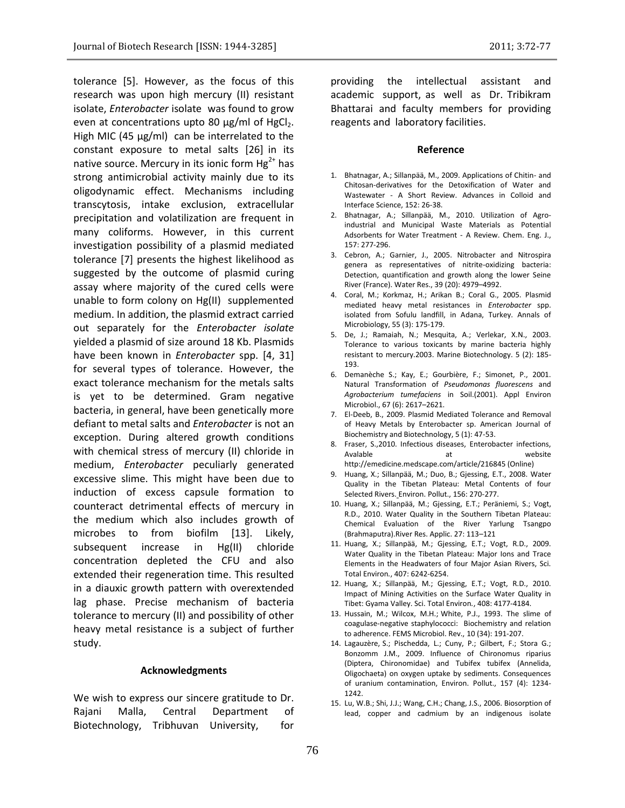tolerance [5]. However, as the focus of this research was upon high mercury (II) resistant isolate, *Enterobacter* isolate was found to grow even at concentrations upto 80  $\mu$ g/ml of HgCl<sub>2</sub>. High MIC (45  $\mu$ g/ml) can be interrelated to the constant exposure to metal salts [26] in its native source. Mercury in its ionic form  $Hg^{2+}$  has strong antimicrobial activity mainly due to its oligodynamic effect. Mechanisms including transcytosis, intake exclusion, extracellular precipitation and volatilization are frequent in many coliforms. However, in this current investigation possibility of a plasmid mediated tolerance [7] presents the highest likelihood as suggested by the outcome of plasmid curing assay where majority of the cured cells were unable to form colony on Hg(II) supplemented medium. In addition, the plasmid extract carried out separately for the *Enterobacter isolate*  yielded a plasmid of size around 18 Kb. Plasmids have been known in *Enterobacter* spp. [4, 31] for several types of tolerance. However, the exact tolerance mechanism for the metals salts is yet to be determined. Gram negative bacteria, in general, have been genetically more defiant to metal salts and *Enterobacter* is not an exception. During altered growth conditions with chemical stress of mercury (II) chloride in medium, *Enterobacter* peculiarly generated excessive slime. This might have been due to induction of excess capsule formation to counteract detrimental effects of mercury in the medium which also includes growth of microbes to from biofilm [13]. Likely, subsequent increase in Hg(II) chloride concentration depleted the CFU and also extended their regeneration time. This resulted in a diauxic growth pattern with overextended lag phase. Precise mechanism of bacteria tolerance to mercury (II) and possibility of other heavy metal resistance is a subject of further study.

#### **Acknowledgments**

We wish to express our sincere gratitude to Dr. Rajani Malla, Central Department of Biotechnology, Tribhuvan University, for providing the intellectual assistant and academic support, as well as Dr. Tribikram Bhattarai and faculty members for providing reagents and laboratory facilities.

#### **Reference**

- 1. Bhatnagar, A.; Sillanpää, M., 2009. Applications of Chitin- and Chitosan-derivatives for the Detoxification of Water and Wastewater - A Short Review. Advances in Colloid and Interface Science, 152: 26-38.
- 2. Bhatnagar, A.; Sillanpää, M., 2010. Utilization of Agroindustrial and Municipal Waste Materials as Potential Adsorbents for Water Treatment - A Review. Chem. Eng. J., 157: 277-296.
- 3. Cebron, A.; Garnier, J., 2005. Nitrobacter and Nitrospira genera as representatives of nitrite-oxidizing bacteria: Detection, quantification and growth along the lower Seine River (France). Water Res., 39 (20): 4979–4992.
- 4. Coral, M.; Korkmaz, H.; Arikan B.; Coral G., 2005. Plasmid mediated heavy metal resistances in *Enterobacter* spp. isolated from Sofulu landfill, in Adana, Turkey. Annals of Microbiology, 55 (3): 175-179.
- 5. De, J.; Ramaiah, N.; Mesquita, A.; Verlekar, X.N., 2003. Tolerance to various toxicants by marine bacteria highly resistant to mercury.2003. Marine Biotechnology. 5 (2): 185- 193.
- 6. Demanèche S.; Kay, E.; Gourbière, F.; Simonet, P., 2001. Natural Transformation of *Pseudomonas fluorescens* and *Agrobacterium tumefaciens* in Soil.(2001). Appl Environ Microbiol., 67 (6): 2617–2621.
- 7. El-Deeb, B., 2009. Plasmid Mediated Tolerance and Removal of Heavy Metals by Enterobacter sp. American Journal of Biochemistry and Biotechnology, 5 (1): 47-53.
- 8. Fraser, S.,2010. Infectious diseases, Enterobacter infections, Avalable at a at website http://emedicine.medscape.com/article/216845 (Online)
- 9. Huang, X.; Sillanpää, M.; Duo, B.; Gjessing, E.T., 2008. Water Quality in the Tibetan Plateau: Metal Contents of four Selected Rivers. Environ. Pollut., 156: 270-277.
- 10. Huang, X.; Sillanpää, M.; Gjessing, E.T.; Peräniemi, S.; Vogt, R.D., 2010. Water Quality in the Southern Tibetan Plateau: Chemical Evaluation of the River Yarlung Tsangpo (Brahmaputra).River Res. Applic. 27: 113–121
- 11. Huang, X.; Sillanpää, M.; Gjessing, E.T.; Vogt, R.D., 2009. Water Quality in the Tibetan Plateau: Major Ions and Trace Elements in the Headwaters of four Major Asian Rivers, Sci. Total Environ*.*, 407: 6242-6254.
- 12. Huang, X.; Sillanpää, M.; Gjessing, E.T.; Vogt, R.D., 2010. Impact of Mining Activities on the Surface Water Quality in Tibet: Gyama Valley. Sci. Total Environ*.*, 408: 4177-4184.
- 13. Hussain, M.; Wilcox, M.H.; White, P.J., 1993. The slime of coagulase-negative staphylococci: Biochemistry and relation to adherence[. FEMS Microbiol.](http://www.sciencedirect.com/science/journal/03781097) Rev., 10 (34): 191-207.
- 14. Lagauzère, S.; Pischedda, L.; Cuny, P.; Gilbert, F.; Stora G.; Bonzomm J.M., 2009. Influence of Chironomus riparius (Diptera, Chironomidae) and Tubifex tubifex (Annelida, Oligochaeta) on oxygen uptake by sediments. Consequences of uranium contamination, Environ. Pollut., 157 (4): 1234- 1242.
- 15. Lu, W.B.; Shi, J.J.; Wang, C.H.; Chang, J.S., 2006. Biosorption of lead, copper and cadmium by an indigenous isolate